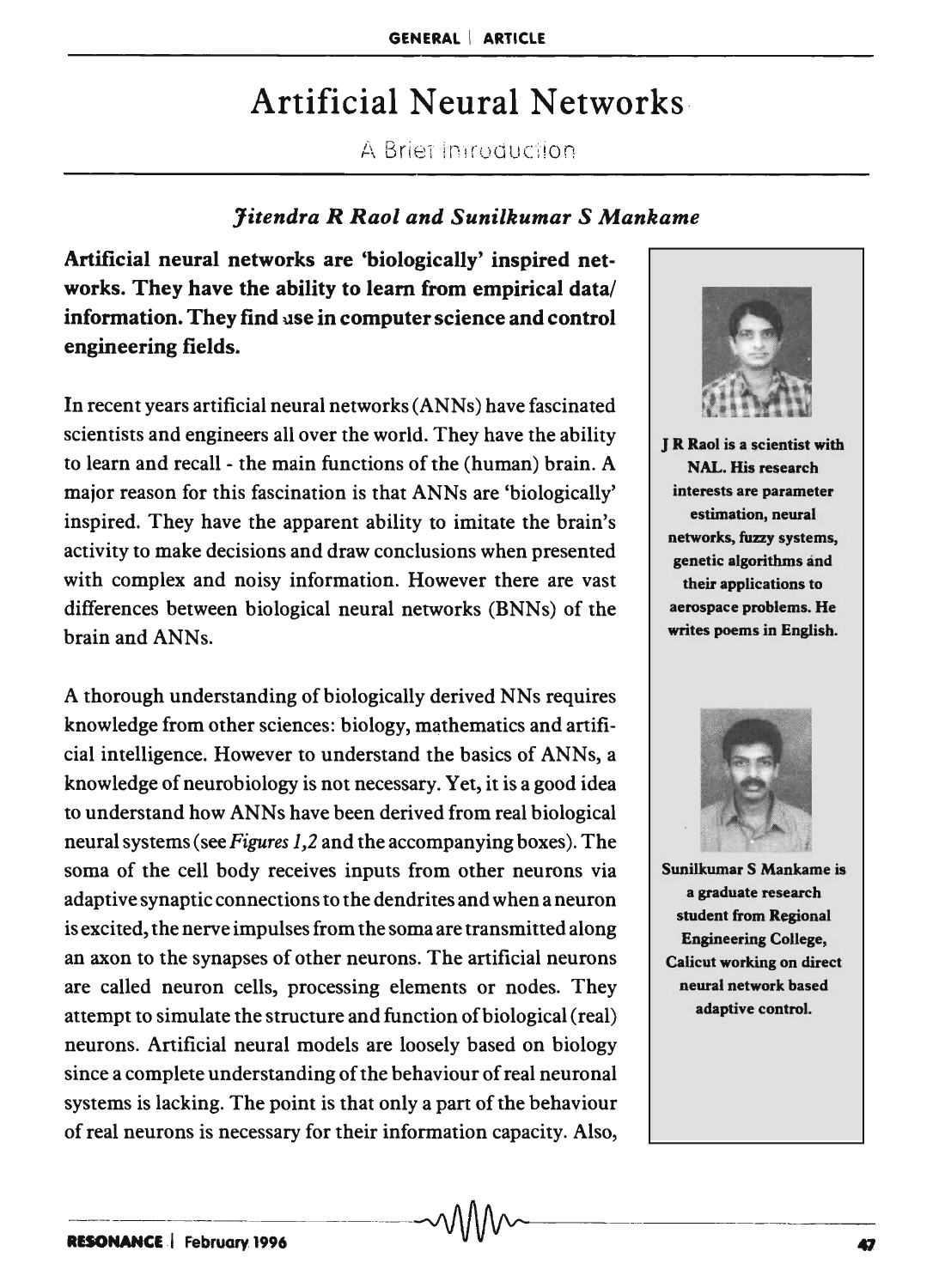# Artificial Neural Networks·

A Briet Introduction

### *Jitendra R Raol and Sunilkumar* S *Mankame*

Artificial neural networks are 'biologically' inspired networks. They have the ability to learn from empirical data/ information. They find use in computer science and control engineering fields.

In recent years artificial neural networks (ANNs) have fascinated scientists and engineers all over the world. They have the ability to learn and recall - the main functions of the (human) brain. A major reason for this fascination is that ANNs are 'biologically' inspired. They have the apparent ability to imitate the brain's activity to make decisions and draw conclusions when presented with complex and noisy information. However there are vast differences between biological neural networks (BNNs) of the brain and ANNs.

A thorough understanding of biologically derived NNs requires knowledge from other sciences: biology, mathematics and artificial intelligence. However to understand the basics of ANNs, a knowledge of neurobiology is not necessary. Yet, it is a good idea to understand how ANNs have been derived from real biological neural systems (see *Figures 1,2* and the accompanying boxes). The soma of the cell body receives inputs from other neurons via adaptive synaptic connections to the dendrites and when a neuron is excited, the nerve impulses from the soma are transmitted along an axon to the synapses of other neurons. The artificial neurons are called neuron cells, processing elements or nodes. They attempt to simulate the structure and function of biological (real) neurons. Artificial neural models are loosely based on biology since a complete understanding of the behaviour of real neuronal systems is lacking. The point is that only a part of the behaviour of real neurons is necessary for their information capacity. Also,



J R Raol is a scientist with NAL. His research interests are parameter estimation, neural networks, fuzzy systems, genetic algorithms and their applications to aerospace problems. He writes poems in English.



Sunilkumar S Mankame is a graduate research student from Regional Engineering College, Calicut working on direct neural network based adaptive control.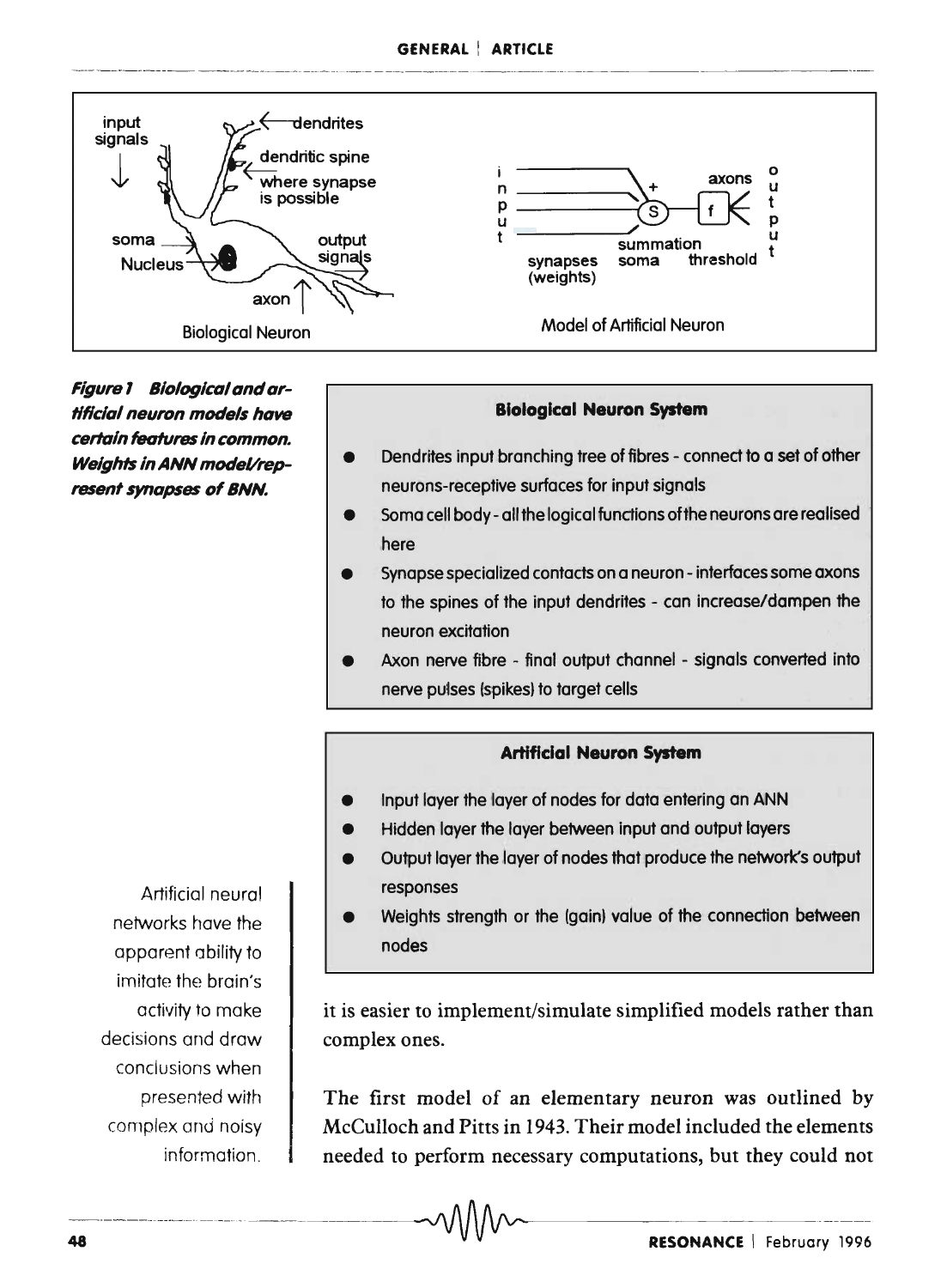#### GENERAL ! ARTICLE



Figure 1 Biological and arflflclal neuron models have certain features in common. Weights in ANN model/represent synapses of BNN.

#### Biological Neuron System

- Dendrites input branching tree of fibres connect to a set of other neurons-receptive surfaces for input signals
- Soma cell body all the logical functions of the neurons are realised here
- Synapse specialized contacts on a neuron interfaces some axons to the spines of the input dendrites - can increase/dampen the neuron excitation
- Axon nerve fibre final output channel signals converted into nerve pulses (spikes) to target cells

### Artificial Neuron System

- Input layer the layer of nodes for data entering on ANN
- Hidden layer the layer between input and output layers
- Output layer the layer of nodes that produce the network's output responses
- Weights strength or the (gain) value of the connection between nodes

it is easier to implement/simulate simplified models rather than complex ones.

The first model of an elementary neuron was outlined by McCulloch and Pitts in 1943. Their model included the elements needed to perform necessary computations, but they could not

 $\,\,\sim\,\,$ 

Artificial neural networks have the apparent ability to imitate the brain's activity to make decisions and draw conclusions when presented with complex and noisy information.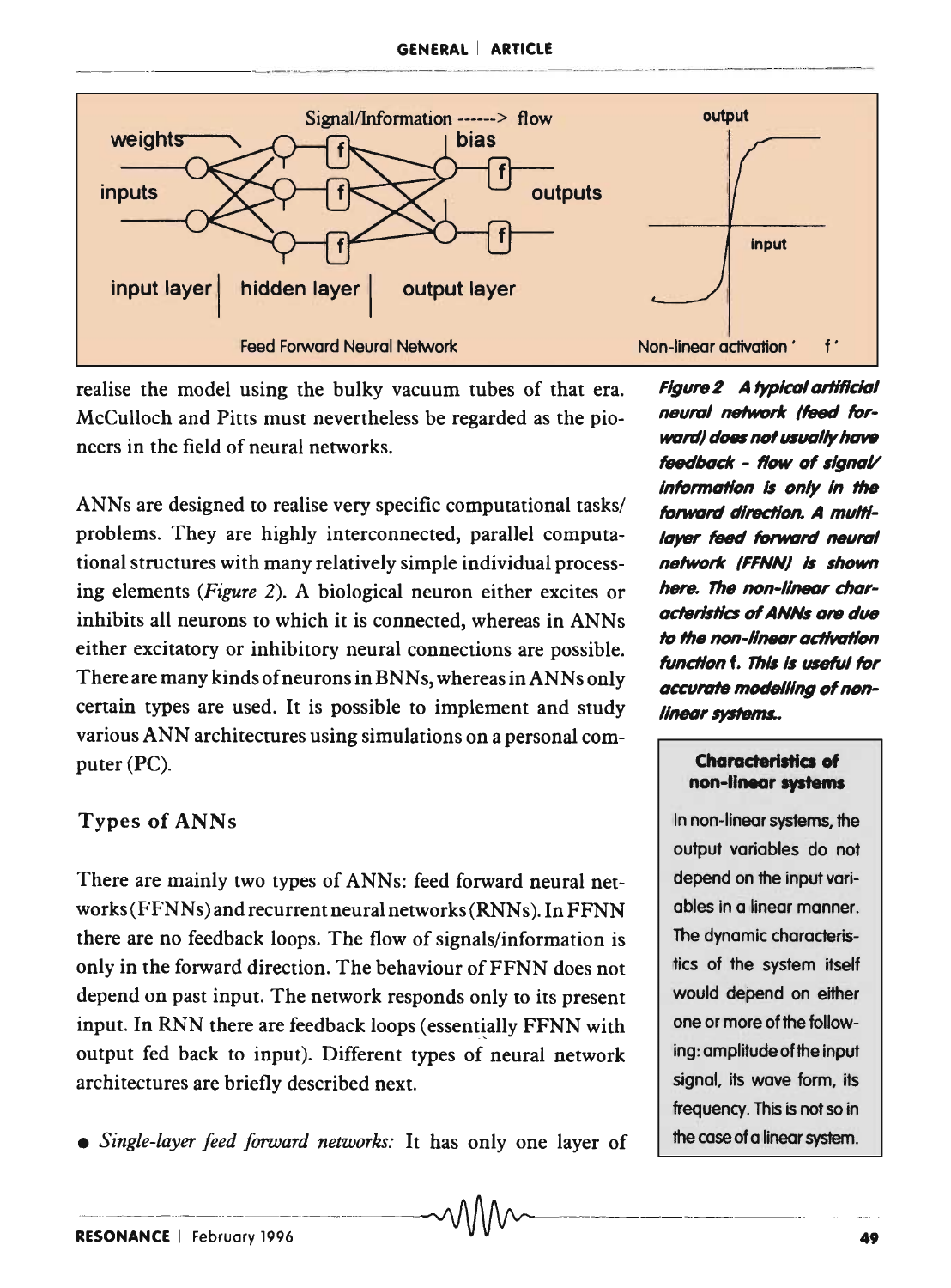

realise the model using the bulky vacuum tubes of that era. McCulloch and Pitts must nevertheless be regarded as the pioneers in the field of neural networks.

ANNs are designed to realise very specific computational tasks/ problems. They are highly interconnected, parallel computational structures with many relatively simple individual processing elements *(Figure* 2). A biological neuron either excites or inhibits all neurons to which it is connected, whereas in ANNs either excitatory or inhibitory neural connections are possible. There are many kinds of neurons in BNNs, whereas in ANNs only certain types are used. It is possible to implement and study various ANN architectures using simulations on a personal computer (PC).

# **Types of ANNs**

There are mainly two types of ANNs: feed forward neural networks (FFNNs) and recurrent neural networks (RNNs). In FFNN there are no feedback loops. The flow of signals/information is only in the forward direction. The behaviour of FFNN does not depend on past input. The network responds only to its present input. In RNN there are feedback loops (essentially FFNN with output fed back to input). Different types of neural network architectures are briefly described next.

*• Single-layer feed forward networks:* It has only one layer of

Figure 2 A typical artificial neural network (feed forward} *does* nofusIHII/y *have*  feedback - flow of signal/ Information *Is* Dnly In *the*  forward direction. A multilayer feed forward neural network (FFNN) is shown here. The non-linear characteristics of **ANNs** are due to the non-linear activation function f. This is useful for accurate modelling of nonlinear systems..

### Characteristics of non-linear systems

In non-linear systems, the output variables do not depend on the input variables in a linear manner. The dynamic characteristics of the system itself would depend on either one or more of the following: amplitude of the input signal. its wave form. its frequency. This is not so in the case of a linear system.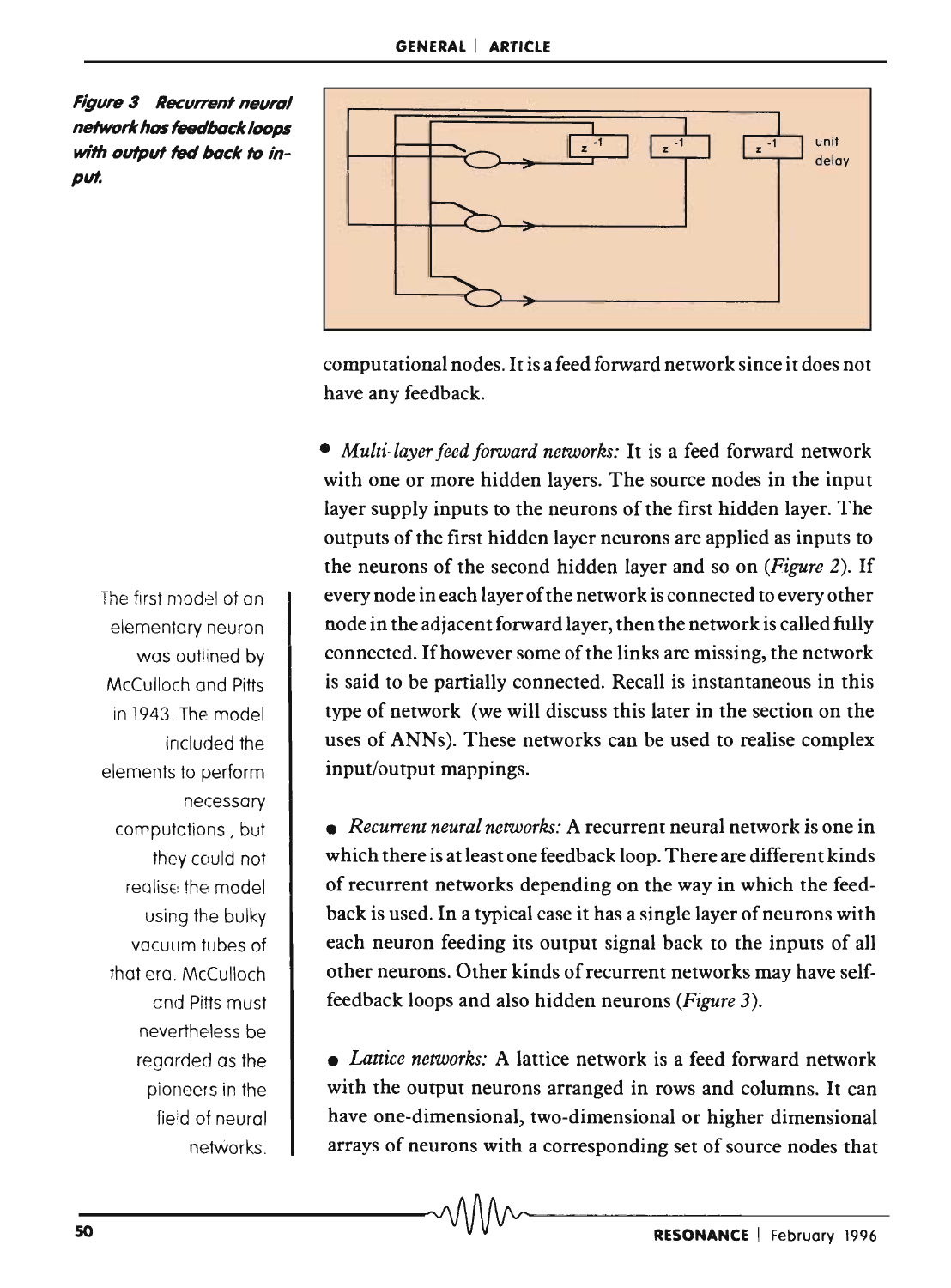**Figure 3** Recurrent neural **network has feedback loops**  *with* **output** *fed* **back** *to* in*put.* 



computational nodes. It is a feed forward network since it does not have any feedback.

*• Multi-layer feed forward networks:* It is a feed forward network with one or more hidden layers. The source nodes in the input layer supply inputs to the neurons of the first hidden layer. The outputs of the first hidden layer neurons are applied as inputs to the neurons of the second hidden layer and so on *(Figure* 2). If every node in each layer of the network is connected to every other node in the adjacent forward layer, then the network is called fully connected. If however some of the links are missing, the network is said to be partially connected. Recall is instantaneous in this type of network (we will discuss this later in the section on the uses of ANNs). These networks can be used to realise complex input/output mappings.

*• Recurrent neural networks:* A recurrent neural network is one in which there is at least one feedback loop. There are different kinds of recurrent networks depending on the way in which the feedback is used. In a typical case it has a single layer of neurons with each neuron feeding its output signal back to the inputs of all other neurons. Other kinds of recurrent networks may have selffeedback loops and also hidden neurons *(Figure 3).* 

*• Lattice networks:* A lattice network is a feed forward network with the output neurons arranged in rows and columns. It can have one-dimensional, two-dimensional or higher dimensional arrays of neurons with a corresponding set of source nodes that

The first model of an elementary neuron was outlined by McCulloch and Pitts in 1943. The model included the elements to perform necessary computations , but they could not realise the model using the bulky vacuum tubes of that era. McCulloch and Pitts must nevertheless be regarded as the pioneers in the fieid of neural netWorks.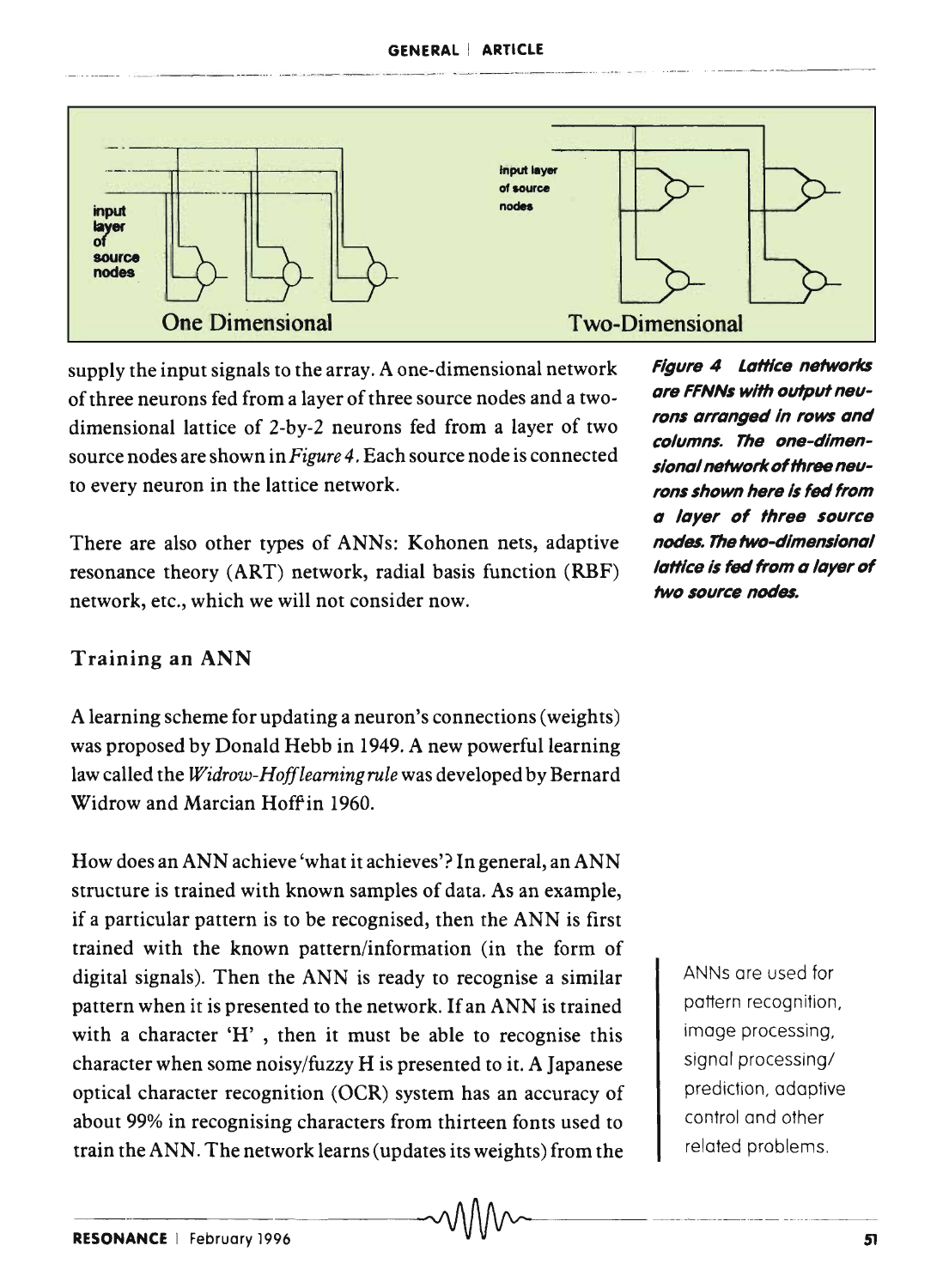#### GENERAL ! ARTICLE



supply the input signals to the array. A one-dimensional network of three neurons fed from a layer of three source nodes and a twodimensional lattice of 2-by-2 neurons fed from a layer of two source nodes are shown in *Figure* 4. Each source node is connected to every neuron in the lattice network.

There are also other types of ANNs: Kohonen nets, adaptive resonance theory (ART) network, radial basis function (RBF) network, etc., which we will not consider now.

# Training an ANN

A learning scheme for updating a neuron's connections (weights) was proposed by Donald Hebb in 1949. A new powerful learning law called the *Widrow-Hofflearning rule* was developed by Bernard Widrow and Marcian Hoff in 1960.

How does an ANN achieve 'what it achieves'? In general, an ANN structure is trained with known samples of data. As an example, if a particular pattern is to be recognised, then the ANN is first trained with the known pattern/information (in the form of digital signals). Then the ANN is ready to recognise a similar pattern when it is presented to the network. If an ANN is trained with a character 'H' , then it must be able to recognise this character when some noisy/fuzzy H is presented to it. A Japanese optical character recognition (OCR) system has an accuracy of about 99% in recognising characters from thirteen fonts used to train the ANN. The network learns (updates its weights) from the  $~\sim$ 

Figure 4 Lattice networks are FFNNs with output neurons arranged in rows and columns. The one-dimensional network of three neurons shown here Is *fed* from a layer of three source nodes. The two-dimensional lattice is fed from a layer of two source nodes.

> ANNs are used for pattern recognition, image processing, signal processing/ prediction, adaptive control and other related problems.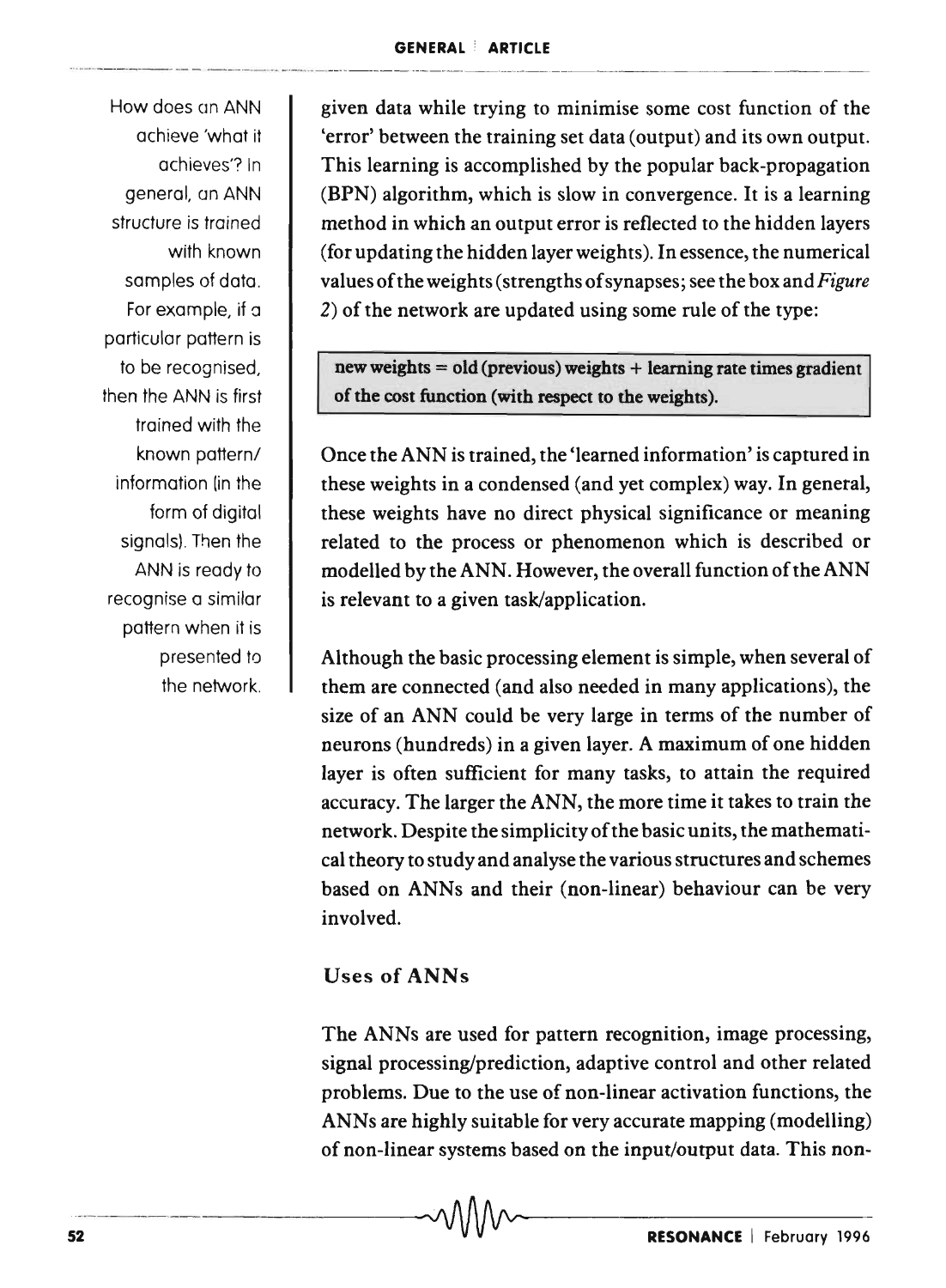How does on ANN achieve 'what it achieves'? In general, an ANN structure is trained with known samples of data. For example, if a particular pattern is to be recognised, then the ANN is first trained with the known pattern/ information (in the form of digital signals). Then the ANN is ready to recognise a similar pattern when it is presented to the network.

given data while trying to minimise some cost function of the 'error' between the training set data (output) and its own output. This learning is accomplished by the popular back-propagation (BPN) algorithm, which is slow in convergence. It is a learning method in which an output error is reflected to the hidden layers (for updating the hidden layer weights). In essence, the numerical values of the weights (strengths of synapses; see the box and *Figure*  2) of the network are updated using some rule of the type:

new weights = old (previous) weights + learning rate times gradient of the cost function (with respect to the weights),

Once the ANN is trained, the 'learned information' is captured in these weights in a condensed (and yet complex) way. In general, these weights have no direct physical significance or meaning related to the process or phenomenon which is described or modelled by the ANN. However, the overall function of the ANN is relevant to a given task/application.

Although the basic processing element is simple, when several of them are connected (and also needed in many applications), the size of an ANN could be very large in terms of the number of neurons (hundreds) in a given layer. A maximum of one hidden layer is often sufficient for many tasks, to attain the required accuracy. The larger the ANN, the more time it takes to train the network. Despite the simplicity of the basic units, the mathematical theory to study and analyse the various structures and schemes based on ANNs and their (non-linear) behaviour can be very involved.

# Uses of ANNs

The ANNs are used for pattern recognition, image processing, signal processing/prediction, adaptive control and other related problems. Due to the use of non-linear activation functions, the ANNs are highly suitable for very accurate mapping (modelling) of non-linear systems based on the input/output data. This non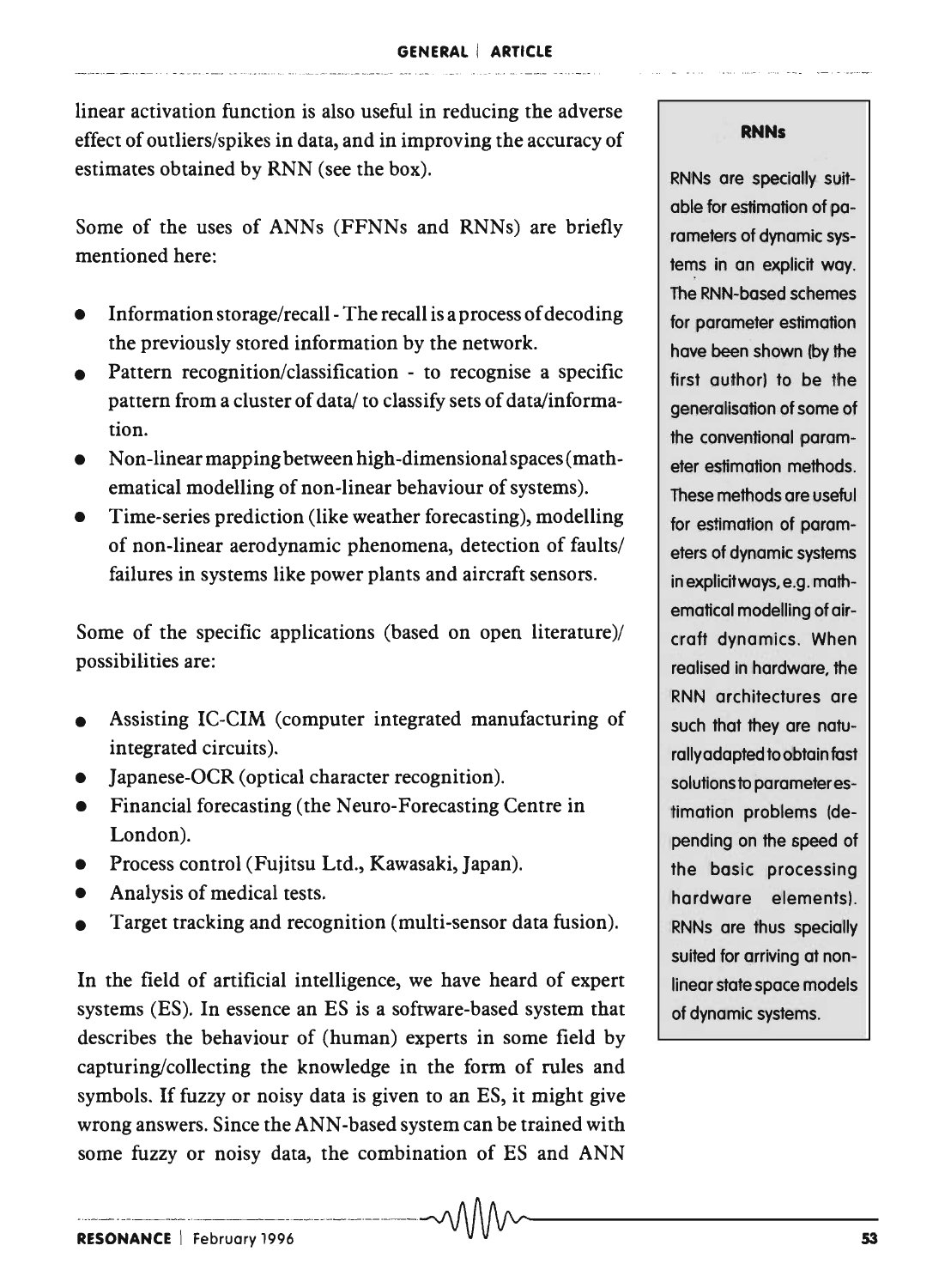linear activation function is also useful in reducing the adverse effect of outliers/spikes in data, and in improving the accuracy of estimates obtained by RNN (see the box).

Some of the uses of ANNs (FFNNs and RNNs) are briefly mentioned here:

- Information storage/recall- The recall is a process of decoding the previously stored information by the network.
- Pattern recognition/classification - to recognise a specific pattern from a cluster of data/ to classify sets of data/information.
- Non-linear mapping between high-dimensional spaces (mathematical modelling of non-linear behaviour of systems).
- Time-series prediction (like weather forecasting), modelling of non-linear aerodynamic phenomena, detection of faults/ failures in systems like power plants and aircraft sensors.

Some of the specific applications (based on open literature)/ possibilities are:

- Assisting IC-CIM (computer integrated manufacturing of integrated circuits).
- Japanese-OCR (optical character recognition).
- Financial forecasting (the Neuro-Forecasting Centre in London).
- Process control (Fujitsu Ltd., Kawasaki, Japan).
- Analysis of medical tests.
- Target tracking and recognition (multi-sensor data fusion).

In the field of artificial intelligence, we have heard of expert systems (ES). In essence an ES is a software-based system that describes the behaviour of (human) experts in some field by capturing/collecting the knowledge in the form of rules and symbols. If fuzzy or noisy data is given to an ES, it might give wrong answers. Since the ANN-based system can be trained with some fuzzy or noisy data, the combination of ES and ANN

#### **RNNs**

RNNs are specially suitable for estimation of parameters of dynamic systems in an explicit way. The RNN-based schemes for parameter estimation have been shown (by the first author) to be the generalisation of some of the conventional parameter estimation methods. These methods are useful for estimation of parameters of dynamic systems in explicit ways, e.g. mathematical modelling of aircraft dynamics. When realised in hardware, the RNN architectures are such that they are naturally adapted to obtain fast solutions to parameter estimation problems (depending on the speed of the basic processing hardware elements). RNNs are thus specially suited for arriving at nonlinear state space models of dynamic systems.